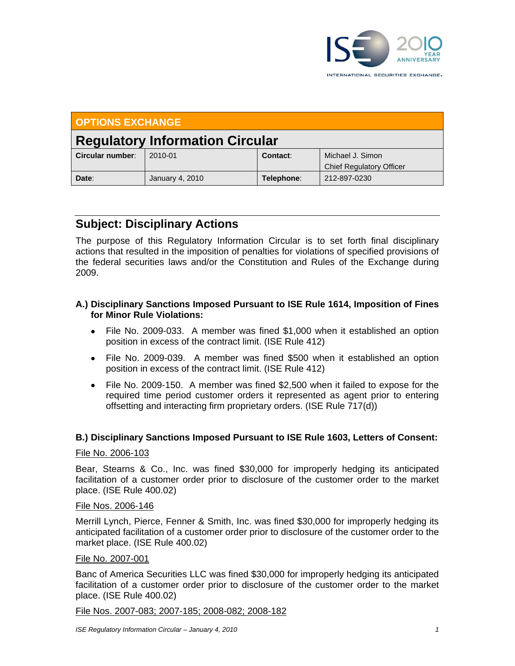

| <b>OPTIONS EXCHANGE</b>                |                 |            |                                                     |
|----------------------------------------|-----------------|------------|-----------------------------------------------------|
| <b>Regulatory Information Circular</b> |                 |            |                                                     |
| Circular number:                       | 2010-01         | Contact:   | Michael J. Simon<br><b>Chief Regulatory Officer</b> |
| Date:                                  | January 4, 2010 | Telephone: | 212-897-0230                                        |

# **Subject: Disciplinary Actions**

The purpose of this Regulatory Information Circular is to set forth final disciplinary actions that resulted in the imposition of penalties for violations of specified provisions of the federal securities laws and/or the Constitution and Rules of the Exchange during 2009.

## **A.) Disciplinary Sanctions Imposed Pursuant to ISE Rule 1614, Imposition of Fines for Minor Rule Violations:**

- File No. 2009-033. A member was fined \$1,000 when it established an option position in excess of the contract limit. (ISE Rule 412)
- File No. 2009-039. A member was fined \$500 when it established an option position in excess of the contract limit. (ISE Rule 412)
- File No. 2009-150. A member was fined \$2,500 when it failed to expose for the required time period customer orders it represented as agent prior to entering offsetting and interacting firm proprietary orders. (ISE Rule 717(d))

# **B.) Disciplinary Sanctions Imposed Pursuant to ISE Rule 1603, Letters of Consent:**

## File No. 2006-103

Bear, Stearns & Co., Inc. was fined \$30,000 for improperly hedging its anticipated facilitation of a customer order prior to disclosure of the customer order to the market place. (ISE Rule 400.02)

## File Nos. 2006-146

Merrill Lynch, Pierce, Fenner & Smith, Inc. was fined \$30,000 for improperly hedging its anticipated facilitation of a customer order prior to disclosure of the customer order to the market place. (ISE Rule 400.02)

## File No. 2007-001

Banc of America Securities LLC was fined \$30,000 for improperly hedging its anticipated facilitation of a customer order prior to disclosure of the customer order to the market place. (ISE Rule 400.02)

File Nos. 2007-083; 2007-185; 2008-082; 2008-182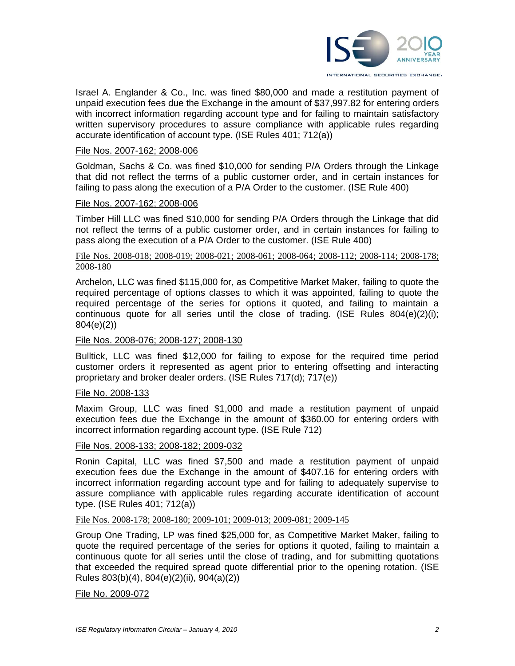

Israel A. Englander & Co., Inc. was fined \$80,000 and made a restitution payment of unpaid execution fees due the Exchange in the amount of \$37,997.82 for entering orders with incorrect information regarding account type and for failing to maintain satisfactory written supervisory procedures to assure compliance with applicable rules regarding accurate identification of account type. (ISE Rules 401; 712(a))

#### File Nos. 2007-162; 2008-006

Goldman, Sachs & Co. was fined \$10,000 for sending P/A Orders through the Linkage that did not reflect the terms of a public customer order, and in certain instances for failing to pass along the execution of a P/A Order to the customer. (ISE Rule 400)

#### File Nos. 2007-162; 2008-006

Timber Hill LLC was fined \$10,000 for sending P/A Orders through the Linkage that did not reflect the terms of a public customer order, and in certain instances for failing to pass along the execution of a P/A Order to the customer. (ISE Rule 400)

#### File Nos. 2008-018; 2008-019; 2008-021; 2008-061; 2008-064; 2008-112; 2008-114; 2008-178; 2008-180

Archelon, LLC was fined \$115,000 for, as Competitive Market Maker, failing to quote the required percentage of options classes to which it was appointed, failing to quote the required percentage of the series for options it quoted, and failing to maintain a continuous quote for all series until the close of trading. (ISE Rules  $804(e)(2)(i)$ ; 804(e)(2))

## File Nos. 2008-076; 2008-127; 2008-130

Bulltick, LLC was fined \$12,000 for failing to expose for the required time period customer orders it represented as agent prior to entering offsetting and interacting proprietary and broker dealer orders. (ISE Rules 717(d); 717(e))

#### File No. 2008-133

Maxim Group, LLC was fined \$1,000 and made a restitution payment of unpaid execution fees due the Exchange in the amount of \$360.00 for entering orders with incorrect information regarding account type. (ISE Rule 712)

#### File Nos. 2008-133; 2008-182; 2009-032

Ronin Capital, LLC was fined \$7,500 and made a restitution payment of unpaid execution fees due the Exchange in the amount of \$407.16 for entering orders with incorrect information regarding account type and for failing to adequately supervise to assure compliance with applicable rules regarding accurate identification of account type. (ISE Rules 401; 712(a))

#### File Nos. 2008-178; 2008-180; 2009-101; 2009-013; 2009-081; 2009-145

Group One Trading, LP was fined \$25,000 for, as Competitive Market Maker, failing to quote the required percentage of the series for options it quoted, failing to maintain a continuous quote for all series until the close of trading, and for submitting quotations that exceeded the required spread quote differential prior to the opening rotation. (ISE Rules 803(b)(4), 804(e)(2)(ii), 904(a)(2))

File No. 2009-072